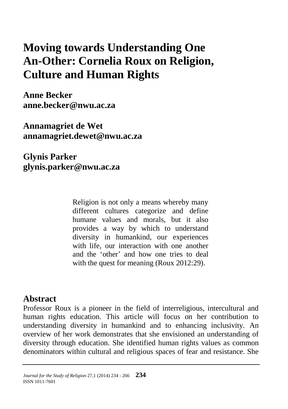# **Moving towards Understanding One An-Other: Cornelia Roux on Religion, Culture and Human Rights**

**Anne Becker [anne.becker@nwu.ac.za](mailto:anne.becker@nwu.ac.za)**

**Annamagriet de Wet [annamagriet.dewet@nwu.ac.za](mailto:annamagriet.dewet@nwu.ac.za)**

**Glynis Parker glynis.parker@nwu.ac.za**

> Religion is not only a means whereby many different cultures categorize and define humane values and morals, but it also provides a way by which to understand diversity in humankind, our experiences with life, our interaction with one another and the 'other' and how one tries to deal with the quest for meaning (Roux 2012:29).

### **Abstract**

Professor Roux is a pioneer in the field of interreligious, intercultural and human rights education. This article will focus on her contribution to understanding diversity in humankind and to enhancing inclusivity. An overview of her work demonstrates that she envisioned an understanding of diversity through education. She identified human rights values as common denominators within cultural and religious spaces of fear and resistance. She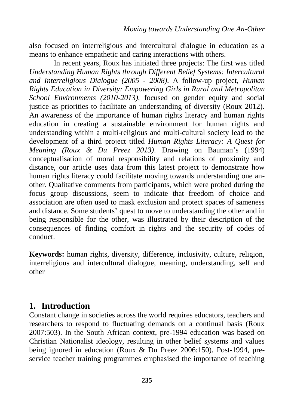also focused on interreligious and intercultural dialogue in education as a means to enhance empathetic and caring interactions with others.

In recent years, Roux has initiated three projects: The first was titled *Understanding Human Rights through Different Belief Systems: Intercultural and Interreligious Dialogue (2005 - 2008)*. A follow-up project, *Human Rights Education in Diversity: Empowering Girls in Rural and Metropolitan School Environments (2010-2013)*, focused on gender equity and social justice as priorities to facilitate an understanding of diversity (Roux 2012). An awareness of the importance of human rights literacy and human rights education in creating a sustainable environment for human rights and understanding within a multi-religious and multi-cultural society lead to the development of a third project titled *Human Rights Literacy: A Quest for Meaning (Roux & Du Preez 2013)*. Drawing on Bauman's (1994) conceptualisation of moral responsibility and relations of proximity and distance, our article uses data from this latest project to demonstrate how human rights literacy could facilitate moving towards understanding one another. Qualitative comments from participants, which were probed during the focus group discussions, seem to indicate that freedom of choice and association are often used to mask exclusion and protect spaces of sameness and distance. Some students' quest to move to understanding the other and in being responsible for the other, was illustrated by their description of the consequences of finding comfort in rights and the security of codes of conduct.

**Keywords:** human rights, diversity, difference, inclusivity, culture, religion, interreligious and intercultural dialogue, meaning, understanding, self and other

# **1. Introduction**

Constant change in societies across the world requires educators, teachers and researchers to respond to fluctuating demands on a continual basis (Roux 2007:503). In the South African context, pre-1994 education was based on Christian Nationalist ideology, resulting in other belief systems and values being ignored in education (Roux & Du Preez 2006:150). Post-1994, preservice teacher training programmes emphasised the importance of teaching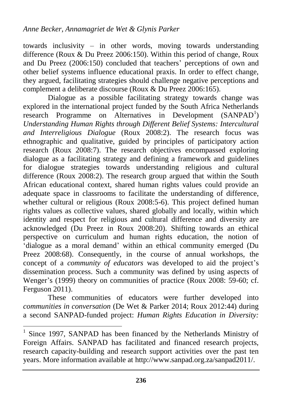towards inclusivity – in other words, moving towards understanding difference (Roux & Du Preez 2006:150). Within this period of change, Roux and Du Preez (2006:150) concluded that teachers' perceptions of own and other belief systems influence educational praxis. In order to effect change, they argued, facilitating strategies should challenge negative perceptions and complement a deliberate discourse (Roux & Du Preez 2006:165).

Dialogue as a possible facilitating strategy towards change was explored in the international project funded by the South Africa Netherlands research Programme on Alternatives in Development  $(SANPAD<sup>1</sup>)$ *Understanding Human Rights through Different Belief Systems: Intercultural and Interreligious Dialogue* (Roux 2008:2). The research focus was ethnographic and qualitative, guided by principles of participatory action research (Roux 2008:7). The research objectives encompassed exploring dialogue as a facilitating strategy and defining a framework and guidelines for dialogue strategies towards understanding religious and cultural difference (Roux 2008:2). The research group argued that within the South African educational context, shared human rights values could provide an adequate space in classrooms to facilitate the understanding of difference, whether cultural or religious (Roux 2008:5-6). This project defined human rights values as collective values, shared globally and locally, within which identity and respect for religious and cultural difference and diversity are acknowledged (Du Preez in Roux 2008:20). Shifting towards an ethical perspective on curriculum and human rights education, the notion of 'dialogue as a moral demand' within an ethical community emerged (Du Preez 2008:68). Consequently, in the course of annual workshops, the concept of a *community of educators* was developed to aid the project's dissemination process. Such a community was defined by using aspects of Wenger's (1999) theory on communities of practice (Roux 2008: 59-60; cf. Ferguson 2011).

These communities of educators were further developed into *communities in conversation* (De Wet & Parker 2014; Roux 2012:44) during a second SANPAD-funded project: *Human Rights Education in Diversity:* 

 $\overline{a}$ 

<sup>&</sup>lt;sup>1</sup> Since 1997, SANPAD has been financed by the Netherlands Ministry of Foreign Affairs. SANPAD has facilitated and financed research projects, research capacity-building and research support activities over the past ten years. More information available at [http://www.sanpad.org.za/sanpad2011/.](http://www.sanpad.org.za/sanpad2011/)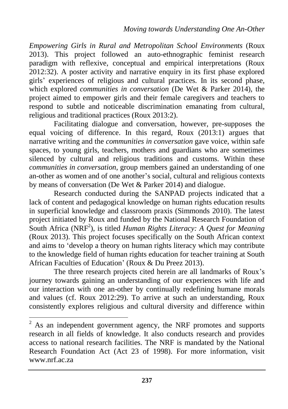*Empowering Girls in Rural and Metropolitan School Environments* (Roux 2013). This project followed an auto-ethnographic feminist research paradigm with reflexive, conceptual and empirical interpretations (Roux 2012:32). A poster activity and narrative enquiry in its first phase explored girls' experiences of religious and cultural practices. In its second phase, which explored *communities in conversation* (De Wet & Parker 2014), the project aimed to empower girls and their female caregivers and teachers to respond to subtle and noticeable discrimination emanating from cultural, religious and traditional practices (Roux 2013:2).

Facilitating dialogue and conversation, however, pre-supposes the equal voicing of difference. In this regard, Roux (2013:1) argues that narrative writing and the *communities in conversation* gave voice, within safe spaces, to young girls, teachers, mothers and guardians who are sometimes silenced by cultural and religious traditions and customs. Within these *communities in conversation*, group members gained an understanding of one an-other as women and of one another's social, cultural and religious contexts by means of conversation (De Wet & Parker 2014) and dialogue.

Research conducted during the SANPAD projects indicated that a lack of content and pedagogical knowledge on human rights education results in superficial knowledge and classroom praxis (Simmonds 2010). The latest project initiated by Roux and funded by the National Research Foundation of South Africa (NRF<sup>2</sup>), is titled *Human Rights Literacy: A Quest for Meaning* (Roux 2013). This project focuses specifically on the South African context and aims to 'develop a theory on human rights literacy which may contribute to the knowledge field of human rights education for teacher training at South African Faculties of Education' (Roux & Du Preez 2013).

The three research projects cited herein are all landmarks of Roux's journey towards gaining an understanding of our experiences with life and our interaction with one an-other by continually redefining humane morals and values (cf. Roux 2012:29). To arrive at such an understanding, Roux consistently explores religious and cultural diversity and difference within

 $\overline{a}$ 

 $2^2$  As an independent government agency, the NRF promotes and supports research in all fields of knowledge. It also conducts research and provides access to national research facilities. The NRF is mandated by the National Research Foundation Act (Act 23 of 1998). For more information, visit [www.nrf.ac.za](http://www.nrf.ac.za/)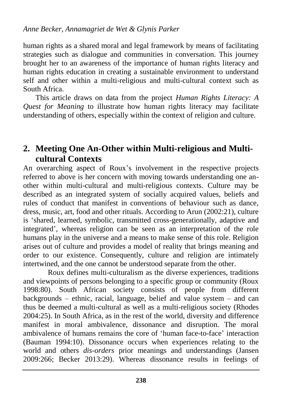human rights as a shared moral and legal framework by means of facilitating strategies such as dialogue and communities in conversation. This journey brought her to an awareness of the importance of human rights literacy and human rights education in creating a sustainable environment to understand self and other within a multi-religious and multi-cultural context such as South Africa.

This article draws on data from the project *Human Rights Literacy: A Quest for Meaning* to illustrate how human rights literacy may facilitate understanding of others, especially within the context of religion and culture.

# **2. Meeting One An-Other within Multi-religious and Multicultural Contexts**

An overarching aspect of Roux's involvement in the respective projects referred to above is her concern with moving towards understanding one another within multi-cultural and multi-religious contexts. Culture may be described as an integrated system of socially acquired values, beliefs and rules of conduct that manifest in conventions of behaviour such as dance, dress, music, art, food and other rituals. According to Arun (2002:21), culture is 'shared, learned, symbolic, transmitted cross-generationally, adaptive and integrated', whereas religion can be seen as an interpretation of the role humans play in the universe and a means to make sense of this role. Religion arises out of culture and provides a model of reality that brings meaning and order to our existence. Consequently, culture and religion are intimately intertwined, and the one cannot be understood separate from the other.

Roux defines multi-culturalism as the diverse experiences, traditions and viewpoints of persons belonging to a specific group or community (Roux 1998:80). South African society consists of people from different backgrounds – ethnic, racial, language, belief and value system – and can thus be deemed a multi-cultural as well as a multi-religious society (Rhodes 2004:25). In South Africa, as in the rest of the world, diversity and difference manifest in moral ambivalence, dissonance and disruption. The moral ambivalence of humans remains the core of 'human face-to-face' interaction (Bauman 1994:10). Dissonance occurs when experiences relating to the world and others *dis-orders* prior meanings and understandings (Jansen 2009:266; Becker 2013:29). Whereas dissonance results in feelings of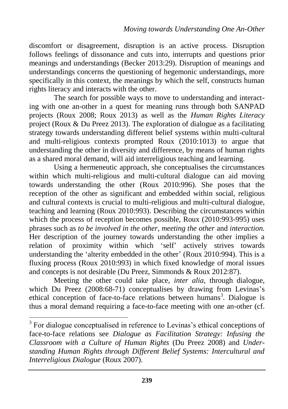discomfort or disagreement, disruption is an active process. Disruption follows feelings of dissonance and cuts into, interrupts and questions prior meanings and understandings (Becker 2013:29). Disruption of meanings and understandings concerns the questioning of hegemonic understandings, more specifically in this context, the meanings by which the self, constructs human rights literacy and interacts with the other.

The search for possible ways to move to understanding and interacting with one an-other in a quest for meaning runs through both SANPAD projects (Roux 2008; Roux 2013) as well as the *Human Rights Literacy*  project (Roux & Du Preez 2013). The exploration of dialogue as a facilitating strategy towards understanding different belief systems within multi-cultural and multi-religious contexts prompted Roux (2010:1013) to argue that understanding the other in diversity and difference, by means of human rights as a shared moral demand, will aid interreligious teaching and learning.

Using a hermeneutic approach, she conceptualises the circumstances within which multi-religious and multi-cultural dialogue can aid moving towards understanding the other (Roux 2010:996). She poses that the reception of the other as significant and embedded within social, religious and cultural contexts is crucial to multi-religious and multi-cultural dialogue, teaching and learning (Roux 2010:993). Describing the circumstances within which the process of reception becomes possible, Roux (2010:993-995) uses phrases such as *to be involved in the other, meeting the other* and *interaction.*  Her description of the journey towards understanding the other implies a relation of proximity within which 'self' actively strives towards understanding the 'alterity embedded in the other' (Roux 2010:994). This is a fluxing process (Roux 2010:993) in which fixed knowledge of moral issues and concepts is not desirable (Du Preez, Simmonds & Roux 2012:87).

Meeting the other could take place, *inter alia,* through dialogue, which Du Preez (2008:68-71) conceptualises by drawing from Levinas's ethical conception of face-to-face relations between humans<sup>3</sup>. Dialogue is thus a moral demand requiring a face-to-face meeting with one an-other (cf.

 $\overline{a}$ 

<sup>&</sup>lt;sup>3</sup> For dialogue conceptualised in reference to Levinas's ethical conceptions of face-to-face relations see *Dialogue as Facilitation Strategy: Infusing the Classroom with a Culture of Human Rights* (Du Preez 2008) and *Understanding Human Rights through Different Belief Systems: Intercultural and Interreligious Dialogue* (Roux 2007).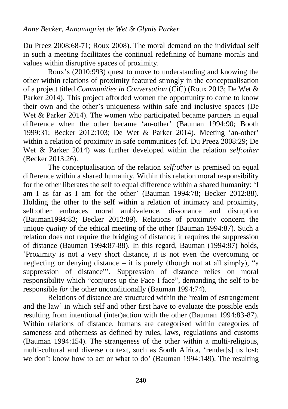Du Preez 2008:68-71; Roux 2008). The moral demand on the individual self in such a meeting facilitates the continual redefining of humane morals and values within disruptive spaces of proximity.

Roux's (2010:993) quest to move to understanding and knowing the other within relations of proximity featured strongly in the conceptualisation of a project titled *Communities in Conversation* (CiC) (Roux 2013; De Wet & Parker 2014). This project afforded women the opportunity to come to know their own and the other's uniqueness within safe and inclusive spaces (De Wet & Parker 2014). The women who participated became partners in equal difference when the other became 'an-other' (Bauman 1994:90: Booth 1999:31; Becker 2012:103; De Wet & Parker 2014). Meeting 'an-other' within a relation of proximity in safe communities (cf. Du Preez 2008:29; De Wet & Parker 2014) was further developed within the relation *self:other* (Becker 2013:26).

The conceptualisation of the relation *self:other* is premised on equal difference within a shared humanity. Within this relation moral responsibility for the other liberates the self to equal difference within a shared humanity: 'I am I as far as I am for the other' (Bauman 1994:78; Becker 2012:88). Holding the other to the self within a relation of intimacy and proximity, self:other embraces moral ambivalence, dissonance and disruption (Bauman1994:83; Becker 2012:89). Relations of proximity concern the unique *quality* of the ethical meeting of the other (Bauman 1994:87). Such a relation does not require the bridging of distance; it requires the suppression of distance (Bauman 1994:87-88). In this regard, Bauman (1994:87) holds, 'Proximity is not a very short distance, it is not even the overcoming or neglecting or denying distance – it is purely (though not at all simply), "a suppression of distance". Suppression of distance relies on moral responsibility which "conjures up the Face I face", demanding the self to be responsible *for* the other unconditionally (Bauman 1994:74).

Relations of distance are structured within the 'realm of estrangement and the law' in which self and other first have to evaluate the possible ends resulting from intentional (inter)action with the other (Bauman 1994:83-87). Within relations of distance, humans are categorised within categories of sameness and otherness as defined by rules, laws, regulations and customs (Bauman 1994:154). The strangeness of the other within a multi-religious, multi-cultural and diverse context, such as South Africa, 'render[s] us lost; we don't know how to act or what to do' (Bauman 1994:149). The resulting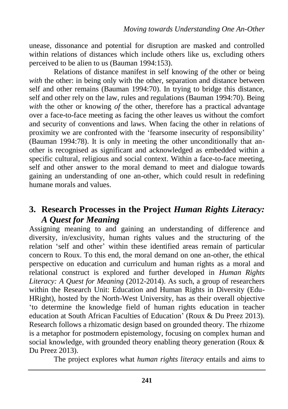unease, dissonance and potential for disruption are masked and controlled within relations of distances which include others like us, excluding others perceived to be alien to us (Bauman 1994:153).

Relations of distance manifest in self knowing *of* the other or being *with* the other: in being only with the other, separation and distance between self and other remains (Bauman 1994:70). In trying to bridge this distance, self and other rely on the law, rules and regulations (Bauman 1994:70). Being *with* the other or knowing *of* the other, therefore has a practical advantage over a face-to-face meeting as facing the other leaves us without the comfort and security of conventions and laws. When facing the other in relations of proximity we are confronted with the 'fearsome insecurity of responsibility' (Bauman 1994:78). It is only in meeting the other unconditionally that another is recognised as significant and acknowledged as embedded within a specific cultural, religious and social context. Within a face-to-face meeting, self and other answer to the moral demand to meet and dialogue towards gaining an understanding of one an-other, which could result in redefining humane morals and values.

# **3. Research Processes in the Project** *Human Rights Literacy: A Quest for Meaning*

Assigning meaning to and gaining an understanding of difference and diversity, in/exclusivity, human rights values and the structuring of the relation 'self and other' within these identified areas remain of particular concern to Roux. To this end, the moral demand on one an-other, the ethical perspective on education and curriculum and human rights as a moral and relational construct is explored and further developed in *Human Rights Literacy: A Quest for Meaning* (2012-2014). As such, a group of researchers within the Research Unit: Education and Human Rights in Diversity (Edu-HRight), hosted by the North-West University, has as their overall objective 'to determine the knowledge field of human rights education in teacher education at South African Faculties of Education' (Roux & Du Preez 2013). Research follows a rhizomatic design based on grounded theory. The rhizome is a metaphor for postmodern epistemology, focusing on complex human and social knowledge, with grounded theory enabling theory generation (Roux & Du Preez 2013).

The project explores what *human rights literacy* entails and aims to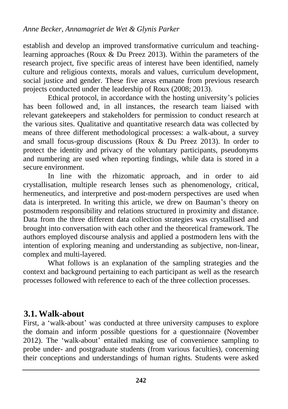establish and develop an improved transformative curriculum and teachinglearning approaches (Roux  $\&$  Du Preez 2013). Within the parameters of the research project, five specific areas of interest have been identified, namely culture and religious contexts, morals and values, curriculum development, social justice and gender. These five areas emanate from previous research projects conducted under the leadership of Roux (2008; 2013).

Ethical protocol, in accordance with the hosting university's policies has been followed and, in all instances, the research team liaised with relevant gatekeepers and stakeholders for permission to conduct research at the various sites. Qualitative and quantitative research data was collected by means of three different methodological processes: a walk-about, a survey and small focus-group discussions (Roux & Du Preez 2013). In order to protect the identity and privacy of the voluntary participants, pseudonyms and numbering are used when reporting findings, while data is stored in a secure environment.

In line with the rhizomatic approach, and in order to aid crystallisation, multiple research lenses such as phenomenology, critical, hermeneutics, and interpretive and post-modern perspectives are used when data is interpreted. In writing this article, we drew on Bauman's theory on postmodern responsibility and relations structured in proximity and distance. Data from the three different data collection strategies was crystallised and brought into conversation with each other and the theoretical framework. The authors employed discourse analysis and applied a postmodern lens with the intention of exploring meaning and understanding as subjective, non-linear, complex and multi-layered.

What follows is an explanation of the sampling strategies and the context and background pertaining to each participant as well as the research processes followed with reference to each of the three collection processes.

# **3.1. Walk-about**

First, a 'walk-about' was conducted at three university campuses to explore the domain and inform possible questions for a questionnaire (November 2012). The 'walk-about' entailed making use of convenience sampling to probe under- and postgraduate students (from various faculties), concerning their conceptions and understandings of human rights. Students were asked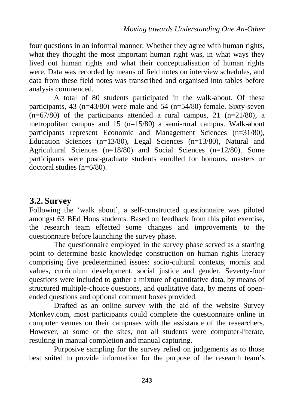four questions in an informal manner: Whether they agree with human rights, what they thought the most important human right was, in what ways they lived out human rights and what their conceptualisation of human rights were. Data was recorded by means of field notes on interview schedules, and data from these field notes was transcribed and organised into tables before analysis commenced.

A total of 80 students participated in the walk-about. Of these participants, 43 (n=43/80) were male and 54 (n=54/80) female. Sixty-seven  $(n=67/80)$  of the participants attended a rural campus, 21 (n=21/80), a metropolitan campus and 15 (n=15/80) a semi-rural campus. Walk-about participants represent Economic and Management Sciences (n=31/80), Education Sciences (n=13/80), Legal Sciences (n=13/80), Natural and Agricultural Sciences (n=18/80) and Social Sciences (n=12/80). Some participants were post-graduate students enrolled for honours, masters or doctoral studies (n=6/80).

## **3.2. Survey**

Following the 'walk about', a self-constructed questionnaire was piloted amongst 63 BEd Hons students. Based on feedback from this pilot exercise, the research team effected some changes and improvements to the questionnaire before launching the survey phase.

The questionnaire employed in the survey phase served as a starting point to determine basic knowledge construction on human rights literacy comprising five predetermined issues: socio-cultural contexts, morals and values, curriculum development, social justice and gender. Seventy-four questions were included to gather a mixture of quantitative data, by means of structured multiple-choice questions, and qualitative data, by means of openended questions and optional comment boxes provided.

Drafted as an online survey with the aid of the website Survey Monkey.com, most participants could complete the questionnaire online in computer venues on their campuses with the assistance of the researchers. However, at some of the sites, not all students were computer-literate, resulting in manual completion and manual capturing.

Purposive sampling for the survey relied on judgements as to those best suited to provide information for the purpose of the research team's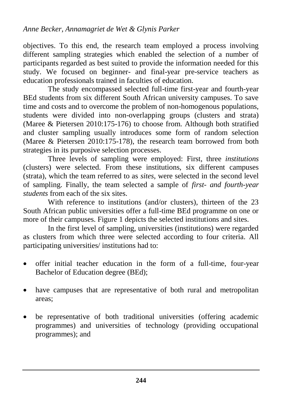objectives. To this end, the research team employed a process involving different sampling strategies which enabled the selection of a number of participants regarded as best suited to provide the information needed for this study. We focused on beginner- and final-year pre-service teachers as education professionals trained in faculties of education.

The study encompassed selected full-time first-year and fourth-year BEd students from six different South African university campuses. To save time and costs and to overcome the problem of non-homogenous populations, students were divided into non-overlapping groups (clusters and strata) (Maree & Pietersen 2010:175-176) to choose from. Although both stratified and cluster sampling usually introduces some form of random selection (Maree & Pietersen 2010:175-178), the research team borrowed from both strategies in its purposive selection processes.

Three levels of sampling were employed: First, three *institutions* (clusters) were selected. From these institutions, six different campuses (strata), which the team referred to as *sites*, were selected in the second level of sampling. Finally, the team selected a sample of *first- and fourth-year students* from each of the six sites.

With reference to institutions (and/or clusters), thirteen of the 23 South African public universities offer a full-time BEd programme on one or more of their campuses. Figure 1 depicts the selected institutions and sites.

In the first level of sampling, universities (institutions) were regarded as clusters from which three were selected according to four criteria. All participating universities/ institutions had to:

- offer initial teacher education in the form of a full-time, four-year Bachelor of Education degree (BEd);
- have campuses that are representative of both rural and metropolitan areas;
- be representative of both traditional universities (offering academic programmes) and universities of technology (providing occupational programmes); and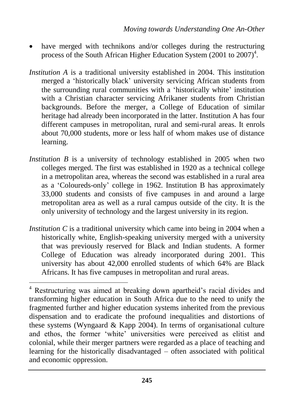- have merged with technikons and/or colleges during the restructuring process of the South African Higher Education System  $(2001$  to  $2007)^4$ .
- *Institution A* is a traditional university established in 2004. This institution merged a 'historically black' university servicing African students from the surrounding rural communities with a 'historically white' institution with a Christian character servicing Afrikaner students from Christian backgrounds. Before the merger, a College of Education of similar heritage had already been incorporated in the latter. Institution A has four different campuses in metropolitan, rural and semi-rural areas. It enrols about 70,000 students, more or less half of whom makes use of distance learning.
- *Institution B* is a university of technology established in 2005 when two colleges merged. The first was established in 1920 as a technical college in a metropolitan area, whereas the second was established in a rural area as a 'Coloureds-only' college in 1962. Institution B has approximately 33,000 students and consists of five campuses in and around a large metropolitan area as well as a rural campus outside of the city. It is the only university of technology and the largest university in its region.
- *Institution C* is a traditional university which came into being in 2004 when a historically white, English-speaking university merged with a university that was previously reserved for Black and Indian students. A former College of Education was already incorporated during 2001. This university has about 42,000 enrolled students of which 64% are Black Africans. It has five campuses in metropolitan and rural areas.

 $\overline{a}$ 

<sup>4</sup> Restructuring was aimed at breaking down apartheid's racial divides and transforming higher education in South Africa due to the need to unify the fragmented further and higher education systems inherited from the previous dispensation and to eradicate the profound inequalities and distortions of these systems (Wyngaard & Kapp 2004). In terms of organisational culture and ethos, the former 'white' universities were perceived as elitist and colonial, while their merger partners were regarded as a place of teaching and learning for the historically disadvantaged – often associated with political and economic oppression.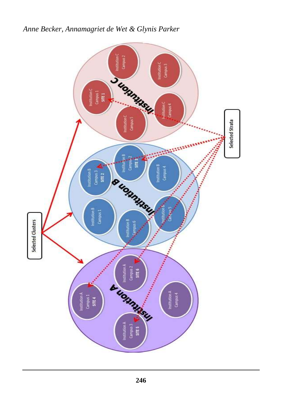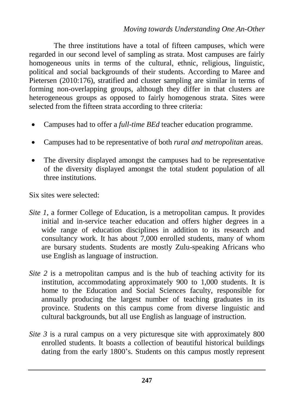The three institutions have a total of fifteen campuses, which were regarded in our second level of sampling as strata. Most campuses are fairly homogeneous units in terms of the cultural, ethnic, religious, linguistic, political and social backgrounds of their students. According to Maree and Pietersen (2010:176), stratified and cluster sampling are similar in terms of forming non-overlapping groups, although they differ in that clusters are heterogeneous groups as opposed to fairly homogenous strata. Sites were selected from the fifteen strata according to three criteria:

- Campuses had to offer a *full-time BEd* teacher education programme.
- Campuses had to be representative of both *rural and metropolitan* areas.
- The diversity displayed amongst the campuses had to be representative of the diversity displayed amongst the total student population of all three institutions.

Six sites were selected:

- *Site 1*, a former College of Education, is a metropolitan campus. It provides initial and in-service teacher education and offers higher degrees in a wide range of education disciplines in addition to its research and consultancy work. It has about 7,000 enrolled students, many of whom are bursary students. Students are mostly Zulu-speaking Africans who use English as language of instruction.
- *Site 2* is a metropolitan campus and is the hub of teaching activity for its institution, accommodating approximately 900 to 1,000 students. It is home to the Education and Social Sciences faculty, responsible for annually producing the largest number of teaching graduates in its province. Students on this campus come from diverse linguistic and cultural backgrounds, but all use English as language of instruction.
- *Site 3* is a rural campus on a very picturesque site with approximately 800 enrolled students. It boasts a collection of beautiful historical buildings dating from the early 1800's. Students on this campus mostly represent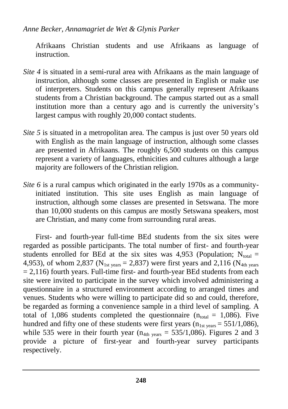Afrikaans Christian students and use Afrikaans as language of instruction.

- *Site 4* is situated in a semi-rural area with Afrikaans as the main language of instruction, although some classes are presented in English or make use of interpreters. Students on this campus generally represent Afrikaans students from a Christian background. The campus started out as a small institution more than a century ago and is currently the university's largest campus with roughly 20,000 contact students.
- *Site 5* is situated in a metropolitan area. The campus is just over 50 years old with English as the main language of instruction, although some classes are presented in Afrikaans. The roughly 6,500 students on this campus represent a variety of languages, ethnicities and cultures although a large majority are followers of the Christian religion.
- *Site 6* is a rural campus which originated in the early 1970s as a communityinitiated institution. This site uses English as main language of instruction, although some classes are presented in Setswana. The more than 10,000 students on this campus are mostly Setswana speakers, most are Christian, and many come from surrounding rural areas.

First- and fourth-year full-time BEd students from the six sites were regarded as possible participants. The total number of first- and fourth-year students enrolled for BEd at the six sites was 4,953 (Population:  $N_{total}$  = 4,953), of whom 2,837 ( $N_{1st \text{ years}} = 2,837$ ) were first years and 2,116 ( $N_{4th \text{ years}}$ )  $= 2,116$ ) fourth years. Full-time first- and fourth-year BEd students from each site were invited to participate in the survey which involved administering a questionnaire in a structured environment according to arranged times and venues. Students who were willing to participate did so and could, therefore, be regarded as forming a convenience sample in a third level of sampling. A total of 1,086 students completed the questionnaire ( $n_{total} = 1,086$ ). Five hundred and fifty one of these students were first years  $(n_{1st years} = 551/1,086)$ , while 535 were in their fourth year  $(n_{4th \text{ years}} = 535/1,086)$ . Figures 2 and 3 provide a picture of first-year and fourth-year survey participants respectively.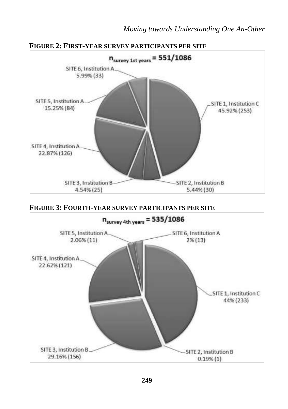

#### **FIGURE 3: FOURTH-YEAR SURVEY PARTICIPANTS PER SITE**

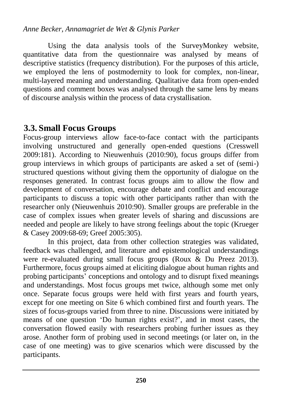Using the data analysis tools of the SurveyMonkey website, quantitative data from the questionnaire was analysed by means of descriptive statistics (frequency distribution). For the purposes of this article, we employed the lens of postmodernity to look for complex, non-linear, multi-layered meaning and understanding. Qualitative data from open-ended questions and comment boxes was analysed through the same lens by means of discourse analysis within the process of data crystallisation.

# **3.3. Small Focus Groups**

Focus-group interviews allow face-to-face contact with the participants involving unstructured and generally open-ended questions (Cresswell 2009:181). According to Nieuwenhuis (2010:90), focus groups differ from group interviews in which groups of participants are asked a set of (semi-) structured questions without giving them the opportunity of dialogue on the responses generated. In contrast focus groups aim to allow the flow and development of conversation, encourage debate and conflict and encourage participants to discuss a topic with other participants rather than with the researcher only (Nieuwenhuis 2010:90). Smaller groups are preferable in the case of complex issues when greater levels of sharing and discussions are needed and people are likely to have strong feelings about the topic (Krueger & Casey 2009:68-69; Greef 2005:305).

In this project, data from other collection strategies was validated, feedback was challenged, and literature and epistemological understandings were re-evaluated during small focus groups (Roux & Du Preez 2013). Furthermore, focus groups aimed at eliciting dialogue about human rights and probing participants' conceptions and ontology and to disrupt fixed meanings and understandings. Most focus groups met twice, although some met only once. Separate focus groups were held with first years and fourth years, except for one meeting on Site 6 which combined first and fourth years. The sizes of focus-groups varied from three to nine. Discussions were initiated by means of one question 'Do human rights exist?', and in most cases, the conversation flowed easily with researchers probing further issues as they arose. Another form of probing used in second meetings (or later on, in the case of one meeting) was to give scenarios which were discussed by the participants.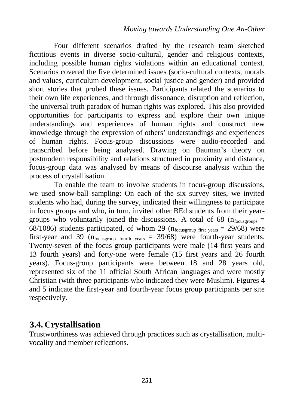Four different scenarios drafted by the research team sketched fictitious events in diverse socio-cultural, gender and religious contexts, including possible human rights violations within an educational context. Scenarios covered the five determined issues (socio-cultural contexts, morals and values, curriculum development, social justice and gender) and provided short stories that probed these issues. Participants related the scenarios to their own life experiences, and through dissonance, disruption and reflection, the universal truth paradox of human rights was explored. This also provided opportunities for participants to express and explore their own unique understandings and experiences of human rights and construct new knowledge through the expression of others' understandings and experiences of human rights. Focus-group discussions were audio-recorded and transcribed before being analysed. Drawing on Bauman's theory on postmodern responsibility and relations structured in proximity and distance, focus-group data was analysed by means of discourse analysis within the process of crystallisation.

To enable the team to involve students in focus-group discussions, we used snow-ball sampling: On each of the six survey sites, we invited students who had, during the survey, indicated their willingness to participate in focus groups and who, in turn, invited other BEd students from their yeargroups who voluntarily joined the discussions. A total of 68 ( $n_{\text{focusgroups}} =$ 68/1086) students participated, of whom 29 ( $n_{focusing first years} = 29/68$ ) were first-year and 39 ( $n_{focusing fourth years} = 39/68$ ) were fourth-year students. Twenty-seven of the focus group participants were male (14 first years and 13 fourth years) and forty-one were female (15 first years and 26 fourth years). Focus-group participants were between 18 and 28 years old, represented six of the 11 official South African languages and were mostly Christian (with three participants who indicated they were Muslim). Figures 4 and 5 indicate the first-year and fourth-year focus group participants per site respectively.

### **3.4. Crystallisation**

Trustworthiness was achieved through practices such as crystallisation, multivocality and member reflections.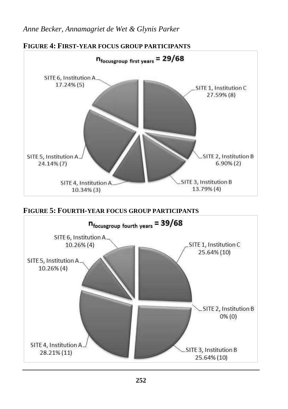

# **FIGURE 5: FOURTH-YEAR FOCUS GROUP PARTICIPANTS**

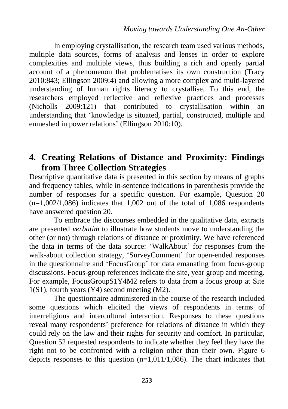In employing crystallisation, the research team used various methods, multiple data sources, forms of analysis and lenses in order to explore complexities and multiple views, thus building a rich and openly partial account of a phenomenon that problematises its own construction (Tracy 2010:843; Ellingson 2009:4) and allowing a more complex and multi-layered understanding of human rights literacy to crystallise. To this end, the researchers employed reflective and reflexive practices and processes (Nicholls 2009:121) that contributed to crystallisation within an understanding that 'knowledge is situated, partial, constructed, multiple and enmeshed in power relations' (Ellingson 2010:10).

## **4. Creating Relations of Distance and Proximity: Findings from Three Collection Strategies**

Descriptive quantitative data is presented in this section by means of graphs and frequency tables, while in-sentence indications in parenthesis provide the number of responses for a specific question. For example, Question 20  $(n=1,002/1,086)$  indicates that 1,002 out of the total of 1,086 respondents have answered question 20.

To embrace the discourses embedded in the qualitative data, extracts are presented *verbatim* to illustrate how students move to understanding the other (or not) through relations of distance or proximity. We have referenced the data in terms of the data source: 'WalkAbout' for responses from the walk-about collection strategy, 'SurveyComment' for open-ended responses in the questionnaire and 'FocusGroup' for data emanating from focus-group discussions. Focus-group references indicate the site, year group and meeting. For example, FocusGroupS1Y4M2 refers to data from a focus group at Site 1(S1), fourth years (Y4) second meeting (M2).

The questionnaire administered in the course of the research included some questions which elicited the views of respondents in terms of interreligious and intercultural interaction. Responses to these questions reveal many respondents' preference for relations of distance in which they could rely on the law and their rights for security and comfort. In particular, Question 52 requested respondents to indicate whether they feel they have the right not to be confronted with a religion other than their own. Figure 6 depicts responses to this question  $(n=1,011/1,086)$ . The chart indicates that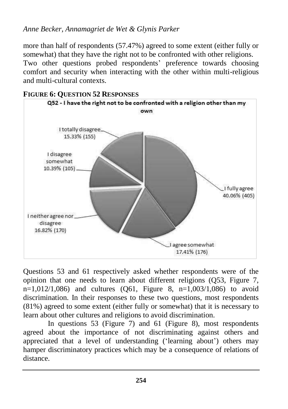more than half of respondents (57.47%) agreed to some extent (either fully or somewhat) that they have the right not to be confronted with other religions. Two other questions probed respondents' preference towards choosing comfort and security when interacting with the other within multi-religious and multi-cultural contexts.



#### **FIGURE 6: QUESTION 52 RESPONSES**

Questions 53 and 61 respectively asked whether respondents were of the opinion that one needs to learn about different religions (Q53, Figure 7,  $n=1,012/1,086$  and cultures (Q61, Figure 8,  $n=1,003/1,086$ ) to avoid discrimination. In their responses to these two questions, most respondents (81%) agreed to some extent (either fully or somewhat) that it is necessary to learn about other cultures and religions to avoid discrimination.

In questions 53 (Figure 7) and 61 (Figure 8), most respondents agreed about the importance of not discriminating against others and appreciated that a level of understanding ('learning about') others may hamper discriminatory practices which may be a consequence of relations of distance.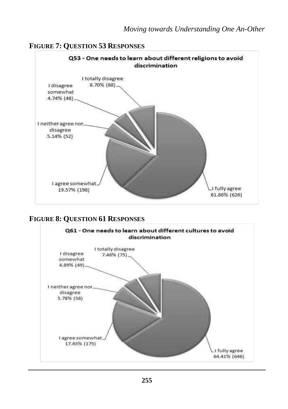#### **FIGURE 7: QUESTION 53 RESPONSES**



#### **FIGURE 8: QUESTION 61 RESPONSES**

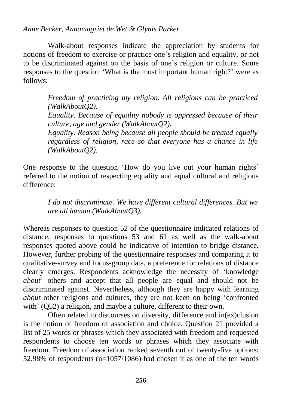Walk-about responses indicate the appreciation by students for notions of freedom to exercise or practice one's religion and equality, or not to be discriminated against on the basis of one's religion or culture. Some responses to the question 'What is the most important human right?' were as follows:

> *Freedom of practicing my religion. All religions can be practiced (WalkAboutQ2). Equality. Because of equality nobody is oppressed because of their culture, age and gender (WalkAboutQ2). Equality. Reason being because all people should be treated equally regardless of religion, race so that everyone has a chance in life (WalkAboutQ2).*

One response to the question 'How do you live out your human rights' referred to the notion of respecting equality and equal cultural and religious difference:

> *I do not discriminate. We have different cultural differences. But we are all human (WalkAboutQ3).*

Whereas responses to question 52 of the questionnaire indicated relations of distance, responses to questions 53 and 61 as well as the walk-about responses quoted above could be indicative of intention to bridge distance. However, further probing of the questionnaire responses and comparing it to qualitative-survey and focus-group data, a preference for relations of distance clearly emerges. Respondents acknowledge the necessity of 'knowledge *about*' others and accept that all people are equal and should not be discriminated against. Nevertheless, although they are happy with learning *about* other religions and cultures, they are not keen on being 'confronted with' (Q52) a religion, and maybe a culture, different to their own.

Often related to discourses on diversity, difference and in(ex)clusion is the notion of freedom of association and choice. Question 21 provided a list of 25 words or phrases which they associated with freedom and requested respondents to choose ten words or phrases which they associate with freedom. Freedom of association ranked seventh out of twenty-five options: 52.98% of respondents (n=1057/1086) had chosen it as one of the ten words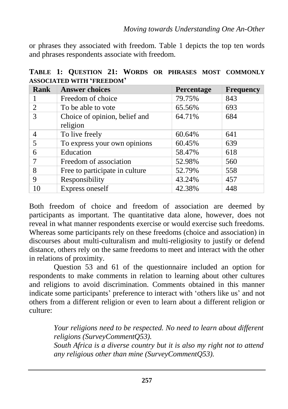or phrases they associated with freedom. Table 1 depicts the top ten words and phrases respondents associate with freedom.

| Rank           | <b>Answer choices</b>                     | Percentage | <b>Frequency</b> |
|----------------|-------------------------------------------|------------|------------------|
|                | Freedom of choice                         | 79.75%     | 843              |
| $\overline{2}$ | To be able to vote                        | 65.56%     | 693              |
| 3              | Choice of opinion, belief and<br>religion | 64.71%     | 684              |
| $\overline{4}$ | To live freely                            | 60.64%     | 641              |
| 5              | To express your own opinions              | 60.45%     | 639              |
| 6              | Education                                 | 58.47%     | 618              |
|                | Freedom of association                    | 52.98%     | 560              |
| 8              | Free to participate in culture            | 52.79%     | 558              |
| 9              | Responsibility                            | 43.24%     | 457              |
| 10             | Express oneself                           | 42.38%     | 448              |

**TABLE 1: QUESTION 21: WORDS OR PHRASES MOST COMMONLY ASSOCIATED WITH 'FREEDOM'**

Both freedom of choice and freedom of association are deemed by participants as important. The quantitative data alone, however, does not reveal in what manner respondents exercise or would exercise such freedoms. Whereas some participants rely on these freedoms (choice and association) in discourses about multi-culturalism and multi-religiosity to justify or defend distance, others rely on the same freedoms to meet and interact with the other in relations of proximity.

Question 53 and 61 of the questionnaire included an option for respondents to make comments in relation to learning about other cultures and religions to avoid discrimination. Comments obtained in this manner indicate some participants' preference to interact with 'others like us' and not others from a different religion or even to learn about a different religion or culture:

> *Your religions need to be respected. No need to learn about different religions (SurveyCommentQ53).*

> *South Africa is a diverse country but it is also my right not to attend any religious other than mine (SurveyCommentQ53).*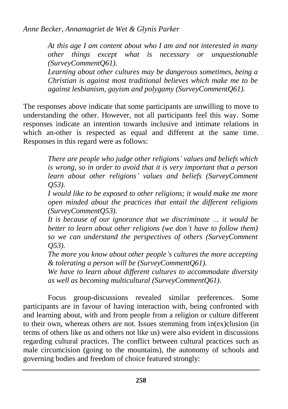*At this age I am content about who I am and not interested in many other things except what is necessary or unquestionable (SurveyCommentQ61).*

*Learning about other cultures may be dangerous sometimes, being a Christian is against most traditional believes which make me to be against lesbianism, gayism and polygamy (SurveyCommentQ61).*

The responses above indicate that some participants are unwilling to move to understanding the other. However, not all participants feel this way. Some responses indicate an intention towards inclusive and intimate relations in which an-other is respected as equal and different at the same time. Responses in this regard were as follows:

> *There are people who judge other religions' values and beliefs which is wrong, so in order to avoid that it is very important that a person learn about other religions' values and beliefs (SurveyComment Q53).*

> *I would like to be exposed to other religions; it would make me more open minded about the practices that entail the different religions (SurveyCommentQ53).*

> *It is because of our ignorance that we discriminate … it would be better to learn about other religions (we don't have to follow them) so we can understand the perspectives of others (SurveyComment Q53).*

> *The more you know about other people's cultures the more accepting & tolerating a person will be (SurveyCommentQ61).*

> *We have to learn about different cultures to accommodate diversity as well as becoming multicultural (SurveyCommentQ61).*

Focus group-discussions revealed similar preferences. Some participants are in favour of having interaction with, being confronted with and learning about, with and from people from a religion or culture different to their own, whereas others are not. Issues stemming from in(ex)clusion (in terms of others like us and others not like us) were also evident in discussions regarding cultural practices. The conflict between cultural practices such as male circumcision (going to the mountains), the autonomy of schools and governing bodies and freedom of choice featured strongly: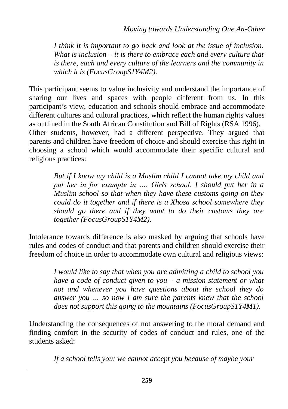*I think it is important to go back and look at the issue of inclusion. What is inclusion – it is there to embrace each and every culture that is there, each and every culture of the learners and the community in which it is (FocusGroupS1Y4M2).*

This participant seems to value inclusivity and understand the importance of sharing our lives and spaces with people different from us. In this participant's view, education and schools should embrace and accommodate different cultures and cultural practices, which reflect the human rights values as outlined in the South African Constitution and Bill of Rights (RSA 1996). Other students, however, had a different perspective. They argued that parents and children have freedom of choice and should exercise this right in choosing a school which would accommodate their specific cultural and religious practices:

> *But if I know my child is a Muslim child I cannot take my child and put her in for example in …. Girls school. I should put her in a Muslim school so that when they have these customs going on they could do it together and if there is a Xhosa school somewhere they should go there and if they want to do their customs they are together (FocusGroupS1Y4M2).*

Intolerance towards difference is also masked by arguing that schools have rules and codes of conduct and that parents and children should exercise their freedom of choice in order to accommodate own cultural and religious views:

> *I would like to say that when you are admitting a child to school you have a code of conduct given to you – a mission statement or what not and whenever you have questions about the school they do answer you … so now I am sure the parents knew that the school does not support this going to the mountains (FocusGroupS1Y4M1).*

Understanding the consequences of not answering to the moral demand and finding comfort in the security of codes of conduct and rules, one of the students asked:

*If a school tells you: we cannot accept you because of maybe your*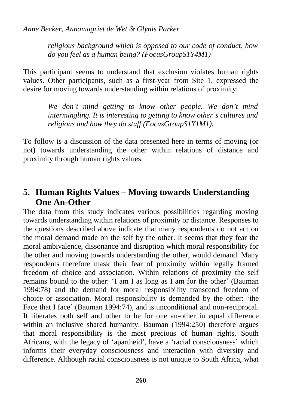*religious background which is opposed to our code of conduct, how do you feel as a human being? (FocusGroupS1Y4M1)*

This participant seems to understand that exclusion violates human rights values. Other participants, such as a first-year from Site 1, expressed the desire for moving towards understanding within relations of proximity:

> *We don't mind getting to know other people. We don't mind intermingling. It is interesting to getting to know other's cultures and religions and how they do stuff (FocusGroupS1Y1M1).*

To follow is a discussion of the data presented here in terms of moving (or not) towards understanding the other within relations of distance and proximity through human rights values.

# **5. Human Rights Values – Moving towards Understanding One An-Other**

The data from this study indicates various possibilities regarding moving towards understanding within relations of proximity or distance. Responses to the questions described above indicate that many respondents do not act on the moral demand made on the self by the other. It seems that they fear the moral ambivalence, dissonance and disruption which moral responsibility for the other and moving towards understanding the other, would demand. Many respondents therefore mask their fear of proximity within legally framed freedom of choice and association. Within relations of proximity the self remains bound to the other: 'I am I as long as I am for the other' (Bauman 1994:78) and the demand for moral responsibility transcend freedom of choice or association. Moral responsibility is demanded by the other: 'the Face that I face' (Bauman 1994:74), and is unconditional and non-reciprocal. It liberates both self and other to be for one an-other in equal difference within an inclusive shared humanity. Bauman (1994:250) therefore argues that moral responsibility is the most precious of human rights. South Africans, with the legacy of 'apartheid', have a 'racial consciousness' which informs their everyday consciousness and interaction with diversity and difference. Although racial consciousness is not unique to South Africa, what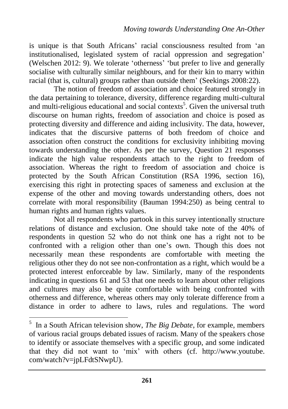is unique is that South Africans' racial consciousness resulted from 'an institutionalised, legislated system of racial oppression and segregation' (Welschen 2012: 9). We tolerate 'otherness' 'but prefer to live and generally socialise with culturally similar neighbours, and for their kin to marry within racial (that is, cultural) groups rather than outside them' (Seekings 2008:22).

The notion of freedom of association and choice featured strongly in the data pertaining to tolerance, diversity, difference regarding multi-cultural and multi-religious educational and social contexts<sup>5</sup>. Given the universal truth discourse on human rights, freedom of association and choice is posed as protecting diversity and difference and aiding inclusivity. The data, however, indicates that the discursive patterns of both freedom of choice and association often construct the conditions for exclusivity inhibiting moving towards understanding the other. As per the survey, Question 21 responses indicate the high value respondents attach to the right to freedom of association. Whereas the right to freedom of association and choice is protected by the South African Constitution (RSA 1996, section 16), exercising this right in protecting spaces of sameness and exclusion at the expense of the other and moving towards understanding others, does not correlate with moral responsibility (Bauman 1994:250) as being central to human rights and human rights values.

Not all respondents who partook in this survey intentionally structure relations of distance and exclusion. One should take note of the 40% of respondents in question 52 who do not think one has a right not to be confronted with a religion other than one's own. Though this does not necessarily mean these respondents are comfortable with meeting the religious other they do not see non-confrontation as a right, which would be a protected interest enforceable by law. Similarly, many of the respondents indicating in questions 61 and 53 that one needs to learn about other religions and cultures may also be quite comfortable with being confronted with otherness and difference, whereas others may only tolerate difference from a distance in order to adhere to laws, rules and regulations. The word

 $\overline{a}$ 

<sup>5</sup> In a South African television show, *The Big Debate*, for example, members of various racial groups debated issues of racism. Many of the speakers chose to identify or associate themselves with a specific group, and some indicated that they did not want to 'mix' with others (cf. http://www.youtube. com/watch?v=jpLFdtSNwpU).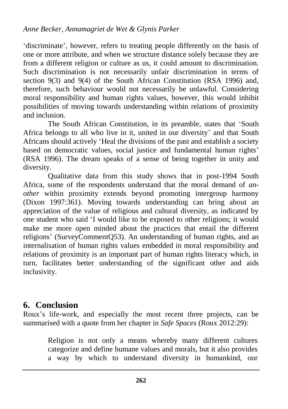'discriminate', however, refers to treating people differently on the basis of one or more attribute, and when we structure distance solely because they are from a different religion or culture as us, it could amount to discrimination. Such discrimination is not necessarily unfair discrimination in terms of section 9(3) and 9(4) of the South African Constitution (RSA 1996) and, therefore, such behaviour would not necessarily be unlawful. Considering moral responsibility and human rights values, however, this would inhibit possibilities of moving towards understanding within relations of proximity and inclusion.

The South African Constitution, in its preamble, states that 'South Africa belongs to all who live in it, united in our diversity' and that South Africans should actively 'Heal the divisions of the past and establish a society based on democratic values, social justice and fundamental human rights' (RSA 1996). The dream speaks of a sense of being together in unity and diversity.

Qualitative data from this study shows that in post-1994 South Africa, some of the respondents understand that the moral demand of *another* within proximity extends beyond promoting intergroup harmony (Dixon 1997:361). Moving towards understanding can bring about an appreciation of the value of religious and cultural diversity, as indicated by one student who said 'I would like to be exposed to other religions; it would make me more open minded about the practices that entail the different religions' (SurveyCommentQ53). An understanding of human rights, and an internalisation of human rights values embedded in moral responsibility and relations of proximity is an important part of human rights literacy which, in turn, facilitates better understanding of the significant other and aids inclusivity.

# **6. Conclusion**

Roux's life-work, and especially the most recent three projects, can be summarised with a quote from her chapter in *Safe Spaces* (Roux 2012:29):

> Religion is not only a means whereby many different cultures categorize and define humane values and morals, but it also provides a way by which to understand diversity in humankind, our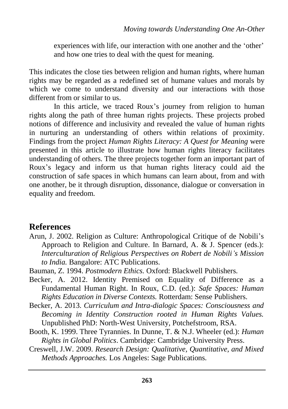experiences with life, our interaction with one another and the 'other' and how one tries to deal with the quest for meaning.

This indicates the close ties between religion and human rights, where human rights may be regarded as a redefined set of humane values and morals by which we come to understand diversity and our interactions with those different from or similar to us.

In this article, we traced Roux's journey from religion to human rights along the path of three human rights projects. These projects probed notions of difference and inclusivity and revealed the value of human rights in nurturing an understanding of others within relations of proximity. Findings from the project *Human Rights Literacy: A Quest for Meaning* were presented in this article to illustrate how human rights literacy facilitates understanding of others. The three projects together form an important part of Roux's legacy and inform us that human rights literacy could aid the construction of safe spaces in which humans can learn about, from and with one another, be it through disruption, dissonance, dialogue or conversation in equality and freedom.

### **References**

- Arun, J. 2002. Religion as Culture: Anthropological Critique of de Nobili's Approach to Religion and Culture. In Barnard, A. & J. Spencer (eds.): *Interculturation of Religious Perspectives on Robert de Nobili's Mission to India.* Bangalore: ATC Publications.
- Bauman, Z. 1994. *Postmodern Ethics.* Oxford: Blackwell Publishers.
- Becker, A. 2012. Identity Premised on Equality of Difference as a Fundamental Human Right. In Roux, C.D. (ed.): *Safe Spaces: Human Rights Education in Diverse Contexts.* Rotterdam: Sense Publishers.
- Becker, A. 2013. *Curriculum and Intra-dialogic Spaces: Consciousness and Becoming in Identity Construction rooted in Human Rights Values.* Unpublished PhD: North-West University, Potchefstroom, RSA.
- Booth, K. 1999. Three Tyrannies. In Dunne, T. & N.J. Wheeler (ed.): *Human Rights in Global Politics*. Cambridge: Cambridge University Press.
- Creswell, J.W. 2009. *Research Design: Qualitative, Quantitative, and Mixed Methods Approaches.* Los Angeles: Sage Publications.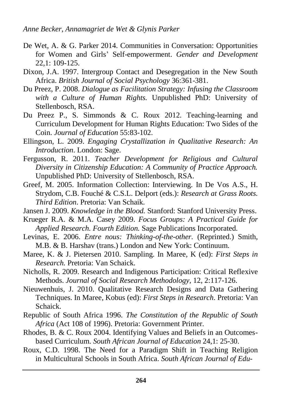- De Wet, A. & G. Parker 2014. Communities in Conversation: Opportunities for Women and Girls' Self-empowerment. *Gender and Development* 22,1: 109-125.
- Dixon, J.A. 1997. Intergroup Contact and Desegregation in the New South Africa. *British Journal of Social Psychology* 36:361-381.
- Du Preez, P. 2008. *Dialogue as Facilitation Strategy: Infusing the Classroom with a Culture of Human Rights.* Unpublished PhD: University of Stellenbosch, RSA.
- Du Preez P., S. Simmonds & C. Roux 2012. Teaching-learning and Curriculum Development for Human Rights Education: Two Sides of the Coin. *Journal of Education* 55:83-102.
- Ellingson, L. 2009. *Engaging Crystallization in Qualitative Research: An Introduction*. London: Sage.
- Fergusson, R. 2011. *Teacher Development for Religious and Cultural Diversity in Citizenship Education: A Community of Practice Approach.* Unpublished PhD: University of Stellenbosch, RSA.
- Greef, M. 2005. Information Collection: Interviewing. In De Vos A.S., H. Strydom, C.B. Fouché & C.S.L. Delport (eds.): *Research at Grass Roots. Third Edition*. Pretoria: Van Schaik.
- Jansen J. 2009. *Knowledge in the Blood.* Stanford: Stanford University Press.
- Krueger R.A. & M.A. Casey 2009. *Focus Groups: A Practical Guide for Applied Research. Fourth Edition.* Sage Publications Incorporated.
- Levinas, E. 2006. *Entre nous: Thinking-of-the-other.* (Reprinted.) Smith, M.B. & B. Harshav (trans.) London and New York: Continuum.
- Maree, K. & J. Pietersen 2010. Sampling. In Maree, K (ed): *First Steps in Research.* Pretoria: Van Schaick.
- Nicholls, R. 2009. Research and Indigenous Participation: Critical Reflexive Methods. *Journal of Social Research Methodology,* 12, 2:117-126.
- Nieuwenhuis, J. 2010. Qualitative Research Designs and Data Gathering Techniques. In Maree, Kobus (ed): *First Steps in Research*. Pretoria: Van Schaick.
- Republic of South Africa 1996. *The Constitution of the Republic of South Africa* (Act 108 of 1996). Pretoria: Government Printer.
- Rhodes, B. & C. Roux 2004. Identifying Values and Beliefs in an Outcomesbased Curriculum. *South African Journal of Education* 24,1: 25-30.
- Roux, C.D. 1998. The Need for a Paradigm Shift in Teaching Religion in Multicultural Schools in South Africa. *South African Journal of Edu-*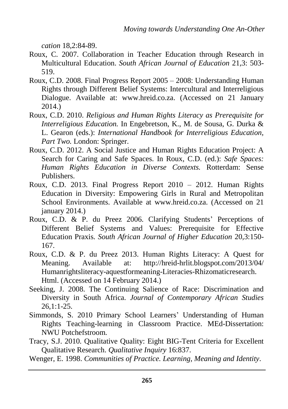*cation* 18,2:84-89.

- Roux, C. 2007. Collaboration in Teacher Education through Research in Multicultural Education. *South African Journal of Education* 21,3: 503- 519.
- Roux, C.D. 2008. Final Progress Report 2005 2008: Understanding Human Rights through Different Belief Systems: Intercultural and Interreligious Dialogue. Available at: [www.hreid.co.za.](http://www.hreid.co.za/) (Accessed on 21 January 2014.)
- Roux, C.D. 2010. *Religious and Human Rights Literacy as Prerequisite for Interreligious Education.* In Engebretson, K., M. de Sousa, G. Durka & L. Gearon (eds.): *International Handbook for Interreligious Education, Part Two.* London: Springer.
- Roux, C.D. 2012. A Social Justice and Human Rights Education Project: A Search for Caring and Safe Spaces. In Roux, C.D. (ed.): *Safe Spaces: Human Rights Education in Diverse Contexts.* Rotterdam: Sense Publishers.
- Roux, C.D. 2013. Final Progress Report 2010 2012. Human Rights Education in Diversity: Empowering Girls in Rural and Metropolitan School Environments. Available at www.hreid.co.za. (Accessed on 21 january 2014.)
- Roux, C.D. & P. du Preez 2006. Clarifying Students' Perceptions of Different Belief Systems and Values: Prerequisite for Effective Education Praxis. *South African Journal of Higher Education* 20,3:150- 167.
- Roux, C.D. & P. du Preez 2013. Human Rights Literacy: A Quest for Meaning. Available at: <http://hreid-hrlit.blogspot.com/2013/04/> Humanrightsliteracy-aquestformeaning-Literacies-Rhizomaticresearch. Html. (Accessed on 14 February 2014.)
- Seeking, J. 2008. The Continuing Salience of Race: Discrimination and Diversity in South Africa. *Journal of Contemporary African Studies*  $26.1:1-25.$
- Simmonds, S. 2010 Primary School Learners' Understanding of Human Rights Teaching-learning in Classroom Practice. MEd-Dissertation: NWU Potchefstroom.
- Tracy, S.J. 2010. Qualitative Quality: Eight BIG-Tent Criteria for Excellent Qualitative Research. *Qualitative Inquiry* 16:837.
- Wenger, E. 1998. *Communities of Practice. Learning, Meaning and Identity*.